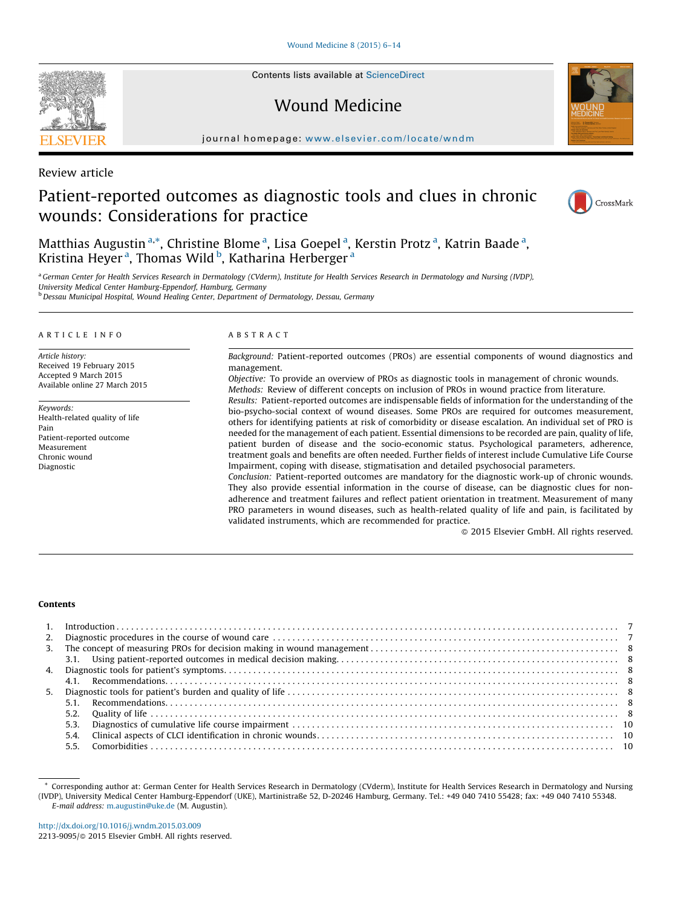Contents lists available at [ScienceDirect](http://www.sciencedirect.com/science/journal/aip/22139095)

# Wound Medicine

journal homepage: www.elsevier.com/locate/wndm

Review article

# Patient-reported outcomes as diagnostic tools and clues in chronic wounds: Considerations for practice



a German Center for Health Services Research in Dermatology (CVderm), Institute for Health Services Research in Dermatology and Nursing (IVDP), University Medical Center Hamburg-Eppendorf, Hamburg, Germany

<sup>b</sup> Dessau Municipal Hospital, Wound Healing Center, Department of Dermatology, Dessau, Germany

# A R T I C L E I N F O

Article history: Received 19 February 2015 Accepted 9 March 2015 Available online 27 March 2015

Keywords: Health-related quality of life Pain Patient-reported outcome Measurement Chronic wound Diagnostic

# A B S T R A C T

Background: Patient-reported outcomes (PROs) are essential components of wound diagnostics and management.

Objective: To provide an overview of PROs as diagnostic tools in management of chronic wounds. Methods: Review of different concepts on inclusion of PROs in wound practice from literature.

Results: Patient-reported outcomes are indispensable fields of information for the understanding of the bio-psycho-social context of wound diseases. Some PROs are required for outcomes measurement, others for identifying patients at risk of comorbidity or disease escalation. An individual set of PRO is needed for the management of each patient. Essential dimensions to be recorded are pain, quality of life, patient burden of disease and the socio-economic status. Psychological parameters, adherence, treatment goals and benefits are often needed. Further fields of interest include Cumulative Life Course Impairment, coping with disease, stigmatisation and detailed psychosocial parameters.

Conclusion: Patient-reported outcomes are mandatory for the diagnostic work-up of chronic wounds. They also provide essential information in the course of disease, can be diagnostic clues for nonadherence and treatment failures and reflect patient orientation in treatment. Measurement of many PRO parameters in wound diseases, such as health-related quality of life and pain, is facilitated by validated instruments, which are recommended for practice.

- 2015 Elsevier GmbH. All rights reserved.

#### Contents

| 5. |      |  |
|----|------|--|
|    | 5.1. |  |
|    | 5.2. |  |
|    | 5.3. |  |
|    | 5.4. |  |
|    | 5.5. |  |





CrossMark

<sup>\*</sup> Corresponding author at: German Center for Health Services Research in Dermatology (CVderm), Institute for Health Services Research in Dermatology and Nursing (IVDP), University Medical Center Hamburg-Eppendorf (UKE), Martinistraße 52, D-20246 Hamburg, Germany. Tel.: +49 040 7410 55428; fax: +49 040 7410 55348. E-mail address: [m.augustin@uke.de](mailto:m.augustin@uke.de) (M. Augustin).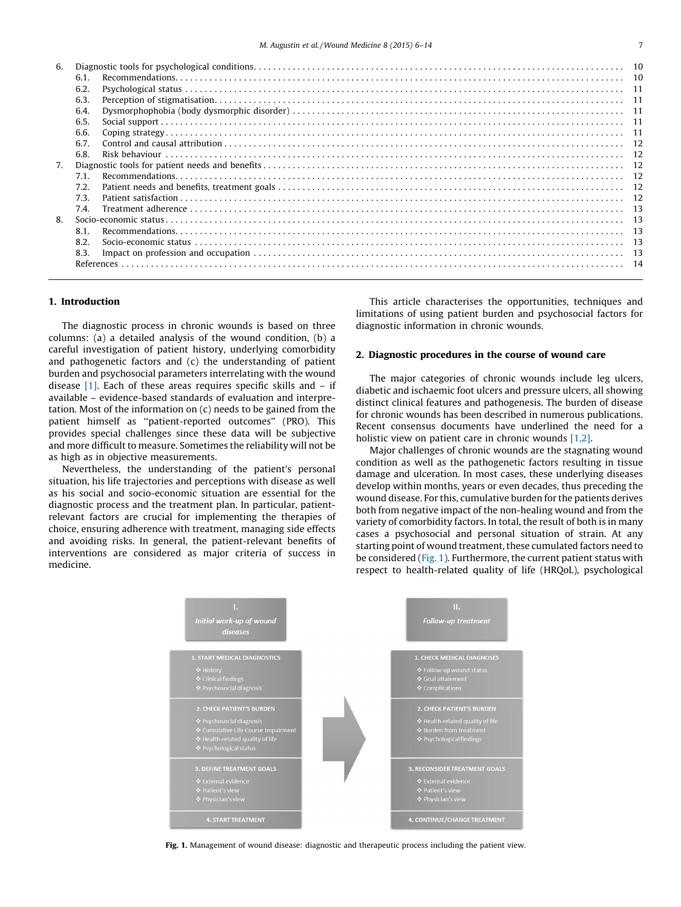| 6. |      |  |
|----|------|--|
|    | 6.1. |  |
|    | 6.2. |  |
|    | 6.3. |  |
|    | 6.4. |  |
|    | 6.5. |  |
|    | 6.6. |  |
|    | 6.7. |  |
|    | 6.8. |  |
| 7. |      |  |
|    | 7.1. |  |
|    | 7.2. |  |
|    | 7.3. |  |
|    | 7.4. |  |
| 8. |      |  |
|    | 8.1. |  |
|    | 8.2. |  |
|    | 8.3. |  |
|    |      |  |
|    |      |  |

# 1. Introduction

The diagnostic process in chronic wounds is based on three columns: (a) a detailed analysis of the wound condition, (b) a careful investigation of patient history, underlying comorbidity and pathogenetic factors and (c) the understanding of patient burden and psychosocial parameters interrelating with the wound disease  $[1]$ . Each of these areas requires specific skills and  $-$  if available – evidence-based standards of evaluation and interpretation. Most of the information on (c) needs to be gained from the patient himself as ''patient-reported outcomes'' (PRO). This provides special challenges since these data will be subjective and more difficult to measure. Sometimes the reliability will not be as high as in objective measurements.

Nevertheless, the understanding of the patient's personal situation, his life trajectories and perceptions with disease as well as his social and socio-economic situation are essential for the diagnostic process and the treatment plan. In particular, patientrelevant factors are crucial for implementing the therapies of choice, ensuring adherence with treatment, managing side effects and avoiding risks. In general, the patient-relevant benefits of interventions are considered as major criteria of success in medicine.

This article characterises the opportunities, techniques and limitations of using patient burden and psychosocial factors for diagnostic information in chronic wounds.

# 2. Diagnostic procedures in the course of wound care

The major categories of chronic wounds include leg ulcers, diabetic and ischaemic foot ulcers and pressure ulcers, all showing distinct clinical features and pathogenesis. The burden of disease for chronic wounds has been described in numerous publications. Recent consensus documents have underlined the need for a holistic view on patient care in chronic wounds [\[1,2\].](#page-8-0)

Major challenges of chronic wounds are the stagnating wound condition as well as the pathogenetic factors resulting in tissue damage and ulceration. In most cases, these underlying diseases develop within months, years or even decades, thus preceding the wound disease. For this, cumulative burden for the patients derives both from negative impact of the non-healing wound and from the variety of comorbidity factors. In total, the result of both is in many cases a psychosocial and personal situation of strain. At any starting point of wound treatment, these cumulated factors need to be considered (Fig. 1). Furthermore, the current patient status with respect to health-related quality of life (HRQoL), psychological



Fig. 1. Management of wound disease: diagnostic and therapeutic process including the patient view.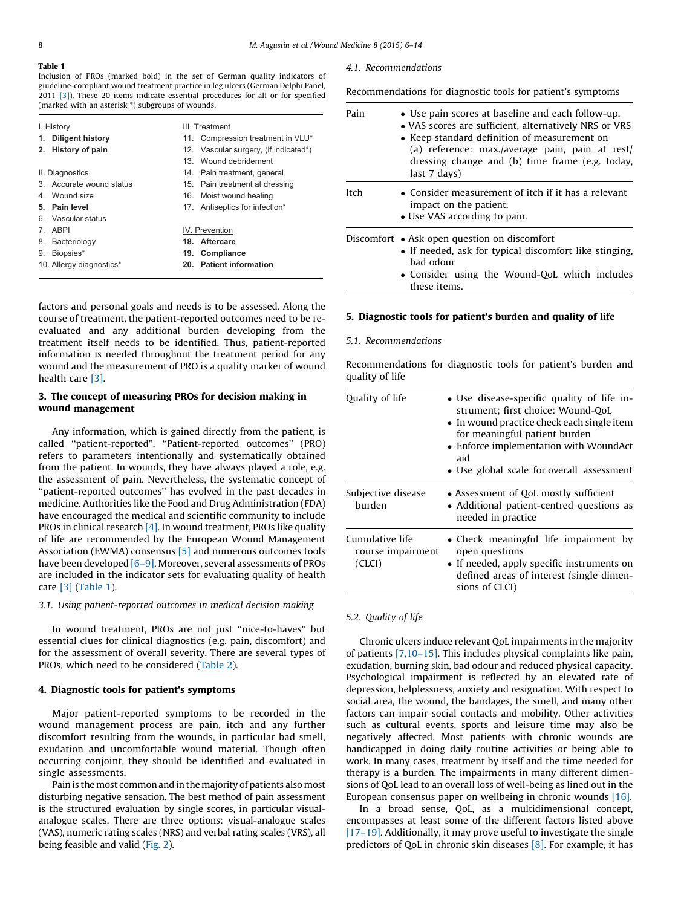# Table 1

Inclusion of PROs (marked bold) in the set of German quality indicators of guideline-compliant wound treatment practice in leg ulcers (German Delphi Panel, 2011 [\[3\]\)](#page-8-0). These 20 items indicate essential procedures for all or for specified (marked with an asterisk \*) subgroups of wounds.

| I. History               | III. Treatment                        |  |  |
|--------------------------|---------------------------------------|--|--|
| 1. Diligent history      | 11. Compression treatment in VLU*     |  |  |
| 2. History of pain       | 12. Vascular surgery, (if indicated*) |  |  |
|                          | 13 Wound debridement                  |  |  |
| II. Diagnostics          | 14. Pain treatment, general           |  |  |
| 3 Accurate wound status  | 15. Pain treatment at dressing        |  |  |
| Wound size<br>4          | 16. Moist wound healing               |  |  |
| 5. Pain level            | 17. Antiseptics for infection*        |  |  |
| 6 Vascular status        |                                       |  |  |
| ABPI<br>7                | IV. Prevention                        |  |  |
| 8.<br>Bacteriology       | 18. Aftercare                         |  |  |
| Biopsies*<br>9.          | 19. Compliance                        |  |  |
| 10. Allergy diagnostics* | 20. Patient information               |  |  |

factors and personal goals and needs is to be assessed. Along the course of treatment, the patient-reported outcomes need to be reevaluated and any additional burden developing from the treatment itself needs to be identified. Thus, patient-reported information is needed throughout the treatment period for any wound and the measurement of PRO is a quality marker of wound health care [\[3\]](#page-8-0).

# 3. The concept of measuring PROs for decision making in wound management

Any information, which is gained directly from the patient, is called ''patient-reported''. ''Patient-reported outcomes'' (PRO) refers to parameters intentionally and systematically obtained from the patient. In wounds, they have always played a role, e.g. the assessment of pain. Nevertheless, the systematic concept of ''patient-reported outcomes'' has evolved in the past decades in medicine. Authorities like the Food and Drug Administration (FDA) have encouraged the medical and scientific community to include PROs in clinical research [\[4\].](#page-8-0) In wound treatment, PROs like quality of life are recommended by the European Wound Management Association (EWMA) consensus [\[5\]](#page-8-0) and numerous outcomes tools have been developed [6-9]. Moreover, several assessments of PROs are included in the indicator sets for evaluating quality of health care [\[3\]](#page-8-0) (Table 1).

### 3.1. Using patient-reported outcomes in medical decision making

In wound treatment, PROs are not just ''nice-to-haves'' but essential clues for clinical diagnostics (e.g. pain, discomfort) and for the assessment of overall severity. There are several types of PROs, which need to be considered [\(Table](#page-3-0) 2).

# 4. Diagnostic tools for patient's symptoms

Major patient-reported symptoms to be recorded in the wound management process are pain, itch and any further discomfort resulting from the wounds, in particular bad smell, exudation and uncomfortable wound material. Though often occurring conjoint, they should be identified and evaluated in single assessments.

Pain is the most common and in the majority of patients also most disturbing negative sensation. The best method of pain assessment is the structured evaluation by single scores, in particular visualanalogue scales. There are three options: visual-analogue scales (VAS), numeric rating scales (NRS) and verbal rating scales (VRS), all being feasible and valid ([Fig.](#page-4-0) 2).

#### 4.1. Recommendations

Recommendations for diagnostic tools for patient's symptoms

| Pain | • Use pain scores at baseline and each follow-up.<br>• VAS scores are sufficient, alternatively NRS or VRS<br>• Keep standard definition of measurement on<br>(a) reference: max./average pain, pain at rest/<br>dressing change and (b) time frame (e.g. today,<br>last 7 days) |
|------|----------------------------------------------------------------------------------------------------------------------------------------------------------------------------------------------------------------------------------------------------------------------------------|
| Itch | $\bullet$ Consider measurement of itch if it has a relevant<br>impact on the patient.<br>• Use VAS according to pain.                                                                                                                                                            |
|      | Discomfort • Ask open question on discomfort<br>• If needed, ask for typical discomfort like stinging,<br>bad odour<br>• Consider using the Wound-OoL which includes<br>these items.                                                                                             |

## 5. Diagnostic tools for patient's burden and quality of life

## 5.1. Recommendations

Recommendations for diagnostic tools for patient's burden and quality of life

| Quality of life                                | • Use disease-specific quality of life in-<br>strument; first choice: Wound-QoL<br>• In wound practice check each single item<br>for meaningful patient burden<br>• Enforce implementation with WoundAct<br>aid<br>• Use global scale for overall assessment |  |  |  |
|------------------------------------------------|--------------------------------------------------------------------------------------------------------------------------------------------------------------------------------------------------------------------------------------------------------------|--|--|--|
| Subjective disease<br>burden                   | • Assessment of OoL mostly sufficient<br>• Additional patient-centred questions as<br>needed in practice                                                                                                                                                     |  |  |  |
| Cumulative life<br>course impairment<br>(CLCI) | • Check meaningful life impairment by<br>open questions<br>• If needed, apply specific instruments on<br>defined areas of interest (single dimen-<br>sions of CLCI)                                                                                          |  |  |  |

## 5.2. Quality of life

Chronic ulcers induce relevant QoL impairments in the majority of patients [\[7,10–15\].](#page-8-0) This includes physical complaints like pain, exudation, burning skin, bad odour and reduced physical capacity. Psychological impairment is reflected by an elevated rate of depression, helplessness, anxiety and resignation. With respect to social area, the wound, the bandages, the smell, and many other factors can impair social contacts and mobility. Other activities such as cultural events, sports and leisure time may also be negatively affected. Most patients with chronic wounds are handicapped in doing daily routine activities or being able to work. In many cases, treatment by itself and the time needed for therapy is a burden. The impairments in many different dimensions of QoL lead to an overall loss of well-being as lined out in the European consensus paper on wellbeing in chronic wounds [\[16\]](#page-8-0).

In a broad sense, QoL, as a multidimensional concept, encompasses at least some of the different factors listed above [\[17–19\].](#page-8-0) Additionally, it may prove useful to investigate the single predictors of QoL in chronic skin diseases [\[8\].](#page-8-0) For example, it has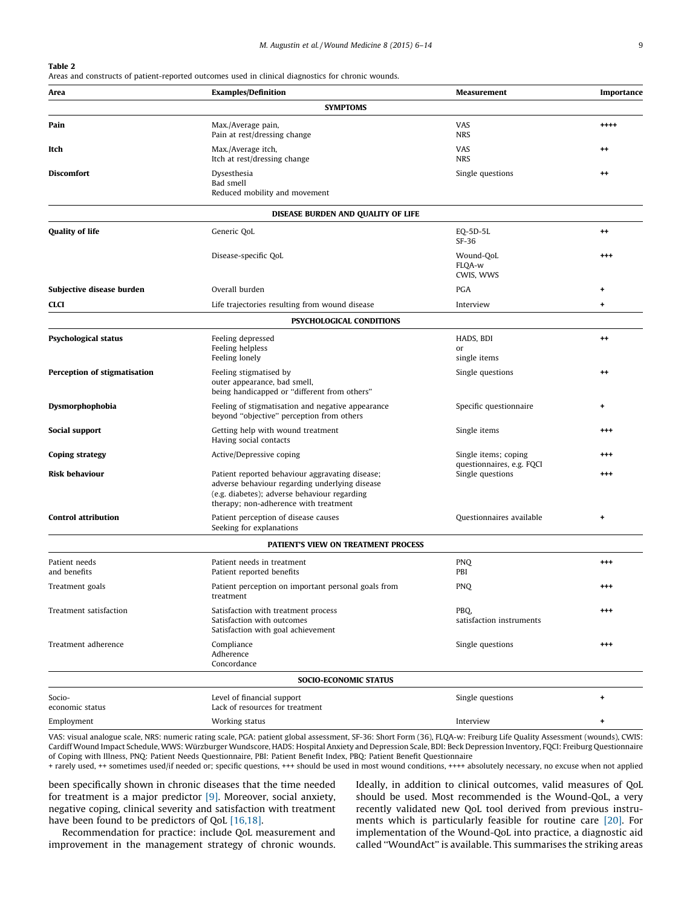<span id="page-3-0"></span>Table 2

Areas and constructs of patient-reported outcomes used in clinical diagnostics for chronic wounds.

| Area                          | <b>Examples/Definition</b>                                                                                                                                                                 | Measurement                                   | Importance     |
|-------------------------------|--------------------------------------------------------------------------------------------------------------------------------------------------------------------------------------------|-----------------------------------------------|----------------|
|                               | <b>SYMPTOMS</b>                                                                                                                                                                            |                                               |                |
| Pain                          | Max./Average pain,                                                                                                                                                                         | <b>VAS</b>                                    | $***$          |
|                               | Pain at rest/dressing change                                                                                                                                                               | <b>NRS</b>                                    |                |
| Itch                          | Max./Average itch,<br>Itch at rest/dressing change                                                                                                                                         | <b>VAS</b><br><b>NRS</b>                      | $^{\tiny{++}}$ |
| Discomfort                    | Dysesthesia<br>Bad smell<br>Reduced mobility and movement                                                                                                                                  | Single questions                              | $^{\tiny{++}}$ |
|                               | DISEASE BURDEN AND QUALITY OF LIFE                                                                                                                                                         |                                               |                |
| <b>Quality of life</b>        | Generic QoL                                                                                                                                                                                | EQ-5D-5L<br>SF-36                             | $^{++}$        |
|                               | Disease-specific QoL                                                                                                                                                                       | Wound-QoL<br>FLQA-w<br>CWIS, WWS              | $^{++}$        |
| Subjective disease burden     | Overall burden                                                                                                                                                                             | <b>PGA</b>                                    | ٠              |
| CLCI                          | Life trajectories resulting from wound disease                                                                                                                                             | Interview                                     | $\ddot{}$      |
|                               | <b>PSYCHOLOGICAL CONDITIONS</b>                                                                                                                                                            |                                               |                |
| Psychological status          | Feeling depressed<br>Feeling helpless                                                                                                                                                      | HADS, BDI<br>or                               | $^{++}$        |
|                               | Feeling lonely                                                                                                                                                                             | single items                                  |                |
| Perception of stigmatisation  | Feeling stigmatised by<br>outer appearance, bad smell,<br>being handicapped or "different from others"                                                                                     | Single questions                              | $^{++}$        |
| Dysmorphophobia               | Feeling of stigmatisation and negative appearance<br>beyond "objective" perception from others                                                                                             | Specific questionnaire                        | ٠              |
| Social support                | Getting help with wound treatment<br>Having social contacts                                                                                                                                | Single items                                  | $^{++}$        |
| Coping strategy               | Active/Depressive coping                                                                                                                                                                   | Single items; coping                          | $^{++}$        |
| Risk behaviour                | Patient reported behaviour aggravating disease;<br>adverse behaviour regarding underlying disease<br>(e.g. diabetes); adverse behaviour regarding<br>therapy; non-adherence with treatment | questionnaires, e.g. FQCI<br>Single questions | $^{++}$        |
| <b>Control attribution</b>    | Patient perception of disease causes<br>Seeking for explanations                                                                                                                           | Questionnaires available                      | ۰              |
|                               | PATIENT'S VIEW ON TREATMENT PROCESS                                                                                                                                                        |                                               |                |
| Patient needs<br>and benefits | Patient needs in treatment<br>Patient reported benefits                                                                                                                                    | <b>PNQ</b><br>PBI                             | $^{++}$        |
| Treatment goals               | Patient perception on important personal goals from<br>treatment                                                                                                                           | <b>PNQ</b>                                    | $^{++}$        |
| Treatment satisfaction        | Satisfaction with treatment process<br>Satisfaction with outcomes<br>Satisfaction with goal achievement                                                                                    | PBO,<br>satisfaction instruments              | $^{++}$        |
| Treatment adherence           | Compliance<br>Adherence<br>Concordance                                                                                                                                                     | Single questions                              | $^{++}$        |
|                               | SOCIO-ECONOMIC STATUS                                                                                                                                                                      |                                               |                |
| Socio-<br>economic status     | Level of financial support<br>Lack of resources for treatment                                                                                                                              | Single questions                              | ۰              |
| Employment                    | Working status                                                                                                                                                                             | Interview                                     | ٠              |

VAS: visual analogue scale, NRS: numeric rating scale, PGA: patient global assessment, SF-36: Short Form (36), FLQA-w: Freiburg Life Quality Assessment (wounds), CWIS: Cardiff Wound Impact Schedule, WWS: Würzburger Wundscore, HADS: Hospital Anxiety and Depression Scale, BDI: Beck Depression Inventory, FQCI: Freiburg Questionnaire of Coping with Illness, PNQ: Patient Needs Questionnaire, PBI: Patient Benefit Index, PBQ: Patient Benefit Questionnaire

+ rarely used, ++ sometimes used/if needed or; specific questions, +++ should be used in most wound conditions, ++++ absolutely necessary, no excuse when not applied

been specifically shown in chronic diseases that the time needed for treatment is a major predictor [\[9\].](#page-8-0) Moreover, social anxiety, negative coping, clinical severity and satisfaction with treatment have been found to be predictors of QoL [\[16,18\].](#page-8-0)

Recommendation for practice: include QoL measurement and improvement in the management strategy of chronic wounds.

Ideally, in addition to clinical outcomes, valid measures of QoL should be used. Most recommended is the Wound-QoL, a very recently validated new QoL tool derived from previous instruments which is particularly feasible for routine care [\[20\].](#page-8-0) For implementation of the Wound-QoL into practice, a diagnostic aid called ''WoundAct'' is available. This summarises the striking areas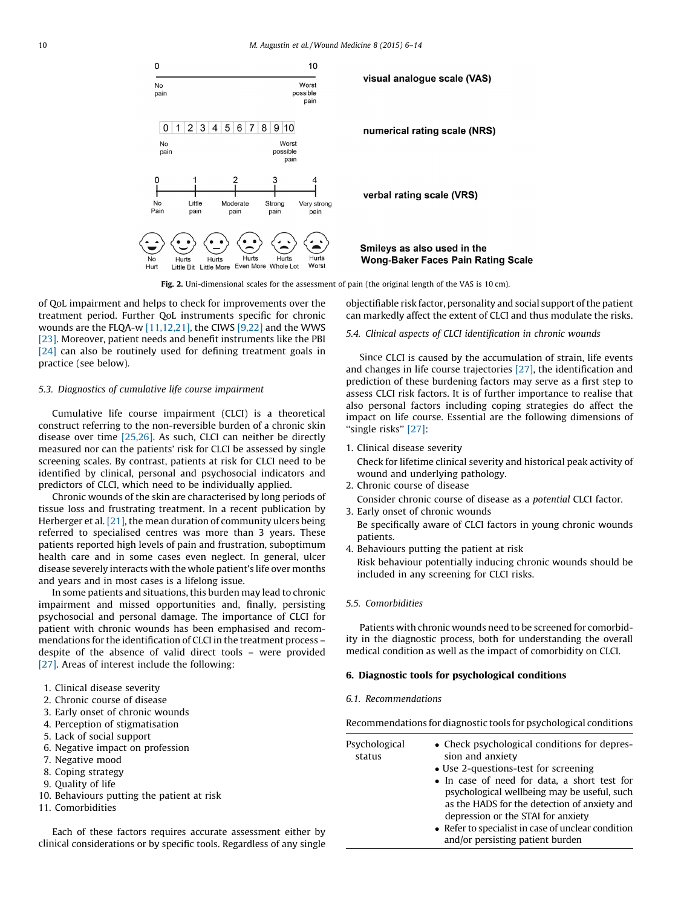<span id="page-4-0"></span>

Fig. 2. Uni-dimensional scales for the assessment of pain (the original length of the VAS is 10 cm).

of QoL impairment and helps to check for improvements over the treatment period. Further QoL instruments specific for chronic wounds are the FLQA-w [\[11,12,21\]](#page-8-0), the CIWS [\[9,22\]](#page-8-0) and the WWS [\[23\]](#page-8-0). Moreover, patient needs and benefit instruments like the PBI [\[24\]](#page-8-0) can also be routinely used for defining treatment goals in practice (see below).

## 5.3. Diagnostics of cumulative life course impairment

Cumulative life course impairment (CLCI) is a theoretical construct referring to the non-reversible burden of a chronic skin disease over time [\[25,26\].](#page-8-0) As such, CLCI can neither be directly measured nor can the patients' risk for CLCI be assessed by single screening scales. By contrast, patients at risk for CLCI need to be identified by clinical, personal and psychosocial indicators and predictors of CLCI, which need to be individually applied.

Chronic wounds of the skin are characterised by long periods of tissue loss and frustrating treatment. In a recent publication by Herberger et al. [\[21\]](#page-8-0), the mean duration of community ulcers being referred to specialised centres was more than 3 years. These patients reported high levels of pain and frustration, suboptimum health care and in some cases even neglect. In general, ulcer disease severely interacts with the whole patient's life over months and years and in most cases is a lifelong issue.

In some patients and situations, this burden may lead to chronic impairment and missed opportunities and, finally, persisting psychosocial and personal damage. The importance of CLCI for patient with chronic wounds has been emphasised and recommendations for the identification of CLCI in the treatment process – despite of the absence of valid direct tools – were provided [\[27\]](#page-8-0). Areas of interest include the following:

- 1. Clinical disease severity
- 2. Chronic course of disease
- 3. Early onset of chronic wounds
- 4. Perception of stigmatisation
- 5. Lack of social support
- 6. Negative impact on profession
- 7. Negative mood
- 8. Coping strategy
- 9. Quality of life
- 10. Behaviours putting the patient at risk
- 11. Comorbidities

Each of these factors requires accurate assessment either by clinical considerations or by specific tools. Regardless of any single objectifiable risk factor, personality and social support of the patient can markedly affect the extent of CLCI and thus modulate the risks.

5.4. Clinical aspects of CLCI identification in chronic wounds

Since CLCI is caused by the accumulation of strain, life events and changes in life course trajectories [\[27\],](#page-8-0) the identification and prediction of these burdening factors may serve as a first step to assess CLCI risk factors. It is of further importance to realise that also personal factors including coping strategies do affect the impact on life course. Essential are the following dimensions of ''single risks'' [\[27\]](#page-8-0):

1. Clinical disease severity

Check for lifetime clinical severity and historical peak activity of wound and underlying pathology.

- 2. Chronic course of disease Consider chronic course of disease as a potential CLCI factor.
- 3. Early onset of chronic wounds Be specifically aware of CLCI factors in young chronic wounds patients.
- 4. Behaviours putting the patient at risk Risk behaviour potentially inducing chronic wounds should be included in any screening for CLCI risks.

#### 5.5. Comorbidities

Patients with chronic wounds need to be screened for comorbidity in the diagnostic process, both for understanding the overall medical condition as well as the impact of comorbidity on CLCI.

# 6. Diagnostic tools for psychological conditions

## 6.1. Recommendations

Recommendations for diagnostic tools for psychological conditions

| Psychological<br>status | • Check psychological conditions for depres-<br>sion and anxiety<br>• Use 2-questions-test for screening<br>• In case of need for data, a short test for<br>psychological wellbeing may be useful, such<br>as the HADS for the detection of anxiety and<br>depression or the STAI for anxiety |
|-------------------------|-----------------------------------------------------------------------------------------------------------------------------------------------------------------------------------------------------------------------------------------------------------------------------------------------|
|                         | • Refer to specialist in case of unclear condition                                                                                                                                                                                                                                            |

and/or persisting patient burden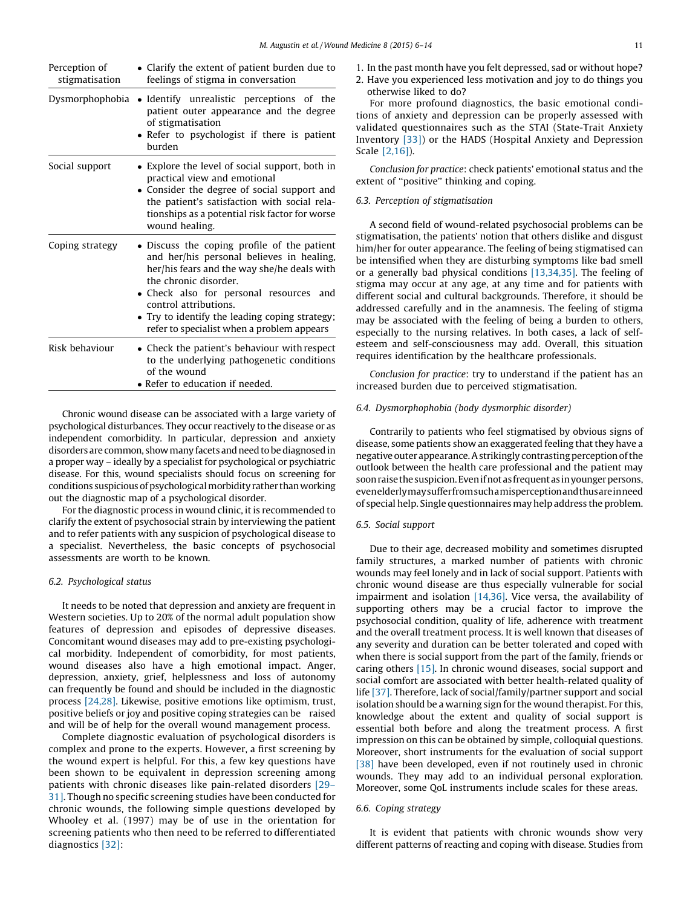| Perception of<br>stigmatisation | • Clarify the extent of patient burden due to<br>feelings of stigma in conversation                                                                                                                                                                                                                                                     |  |  |
|---------------------------------|-----------------------------------------------------------------------------------------------------------------------------------------------------------------------------------------------------------------------------------------------------------------------------------------------------------------------------------------|--|--|
| Dysmorphophobia                 | • Identify unrealistic perceptions of the<br>patient outer appearance and the degree<br>of stigmatisation<br>• Refer to psychologist if there is patient<br>burden                                                                                                                                                                      |  |  |
| Social support                  | • Explore the level of social support, both in<br>practical view and emotional<br>• Consider the degree of social support and<br>the patient's satisfaction with social rela-<br>tionships as a potential risk factor for worse<br>wound healing.                                                                                       |  |  |
| Coping strategy                 | • Discuss the coping profile of the patient<br>and her/his personal believes in healing,<br>her/his fears and the way she/he deals with<br>the chronic disorder.<br>• Check also for personal resources<br>and<br>control attributions.<br>• Try to identify the leading coping strategy;<br>refer to specialist when a problem appears |  |  |
| Risk behaviour                  | • Check the patient's behaviour with respect<br>to the underlying pathogenetic conditions<br>of the wound<br>• Refer to education if needed.                                                                                                                                                                                            |  |  |

Chronic wound disease can be associated with a large variety of psychological disturbances. They occur reactively to the disease or as independent comorbidity. In particular, depression and anxiety disorders are common, show many facets and need to be diagnosed in a proper way – ideally by a specialist for psychological or psychiatric disease. For this, wound specialists should focus on screening for conditions suspicious of psychological morbidity rather than working out the diagnostic map of a psychological disorder.

For the diagnostic process in wound clinic, it is recommended to clarify the extent of psychosocial strain by interviewing the patient and to refer patients with any suspicion of psychological disease to a specialist. Nevertheless, the basic concepts of psychosocial assessments are worth to be known.

### 6.2. Psychological status

It needs to be noted that depression and anxiety are frequent in Western societies. Up to 20% of the normal adult population show features of depression and episodes of depressive diseases. Concomitant wound diseases may add to pre-existing psychological morbidity. Independent of comorbidity, for most patients, wound diseases also have a high emotional impact. Anger, depression, anxiety, grief, helplessness and loss of autonomy can frequently be found and should be included in the diagnostic process [\[24,28\]](#page-8-0). Likewise, positive emotions like optimism, trust, positive beliefs or joy and positive coping strategies can be raised and will be of help for the overall wound management process.

Complete diagnostic evaluation of psychological disorders is complex and prone to the experts. However, a first screening by the wound expert is helpful. For this, a few key questions have been shown to be equivalent in depression screening among patients with chronic diseases like pain-related disorders [\[29–](#page-8-0) [31\].](#page-8-0) Though no specific screening studies have been conducted for chronic wounds, the following simple questions developed by Whooley et al. (1997) may be of use in the orientation for screening patients who then need to be referred to differentiated diagnostics [\[32\]](#page-8-0):

- 1. In the past month have you felt depressed, sad or without hope?
- 2. Have you experienced less motivation and joy to do things you otherwise liked to do?

For more profound diagnostics, the basic emotional conditions of anxiety and depression can be properly assessed with validated questionnaires such as the STAI (State-Trait Anxiety Inventory [\[33\]\)](#page-8-0) or the HADS (Hospital Anxiety and Depression Scale [\[2,16\]\)](#page-8-0).

Conclusion for practice: check patients' emotional status and the extent of ''positive'' thinking and coping.

# 6.3. Perception of stigmatisation

A second field of wound-related psychosocial problems can be stigmatisation, the patients' notion that others dislike and disgust him/her for outer appearance. The feeling of being stigmatised can be intensified when they are disturbing symptoms like bad smell or a generally bad physical conditions [\[13,34,35\]](#page-8-0). The feeling of stigma may occur at any age, at any time and for patients with different social and cultural backgrounds. Therefore, it should be addressed carefully and in the anamnesis. The feeling of stigma may be associated with the feeling of being a burden to others, especially to the nursing relatives. In both cases, a lack of selfesteem and self-consciousness may add. Overall, this situation requires identification by the healthcare professionals.

Conclusion for practice: try to understand if the patient has an increased burden due to perceived stigmatisation.

# 6.4. Dysmorphophobia (body dysmorphic disorder)

Contrarily to patients who feel stigmatised by obvious signs of disease, some patients show an exaggerated feeling that they have a negative outer appearance. A strikingly contrasting perception of the outlook between the health care professional and the patient may soon raise the suspicion. Even if not as frequent as in younger persons, evenelderlymaysufferfromsuchamisperceptionandthusareinneed of special help. Single questionnaires may help address the problem.

# 6.5. Social support

Due to their age, decreased mobility and sometimes disrupted family structures, a marked number of patients with chronic wounds may feel lonely and in lack of social support. Patients with chronic wound disease are thus especially vulnerable for social impairment and isolation [\[14,36\]](#page-8-0). Vice versa, the availability of supporting others may be a crucial factor to improve the psychosocial condition, quality of life, adherence with treatment and the overall treatment process. It is well known that diseases of any severity and duration can be better tolerated and coped with when there is social support from the part of the family, friends or caring others [\[15\]](#page-8-0). In chronic wound diseases, social support and social comfort are associated with better health-related quality of life [\[37\]](#page-8-0). Therefore, lack of social/family/partner support and social isolation should be a warning sign for the wound therapist. For this, knowledge about the extent and quality of social support is essential both before and along the treatment process. A first impression on this can be obtained by simple, colloquial questions. Moreover, short instruments for the evaluation of social support [\[38\]](#page-8-0) have been developed, even if not routinely used in chronic wounds. They may add to an individual personal exploration. Moreover, some QoL instruments include scales for these areas.

# 6.6. Coping strategy

It is evident that patients with chronic wounds show very different patterns of reacting and coping with disease. Studies from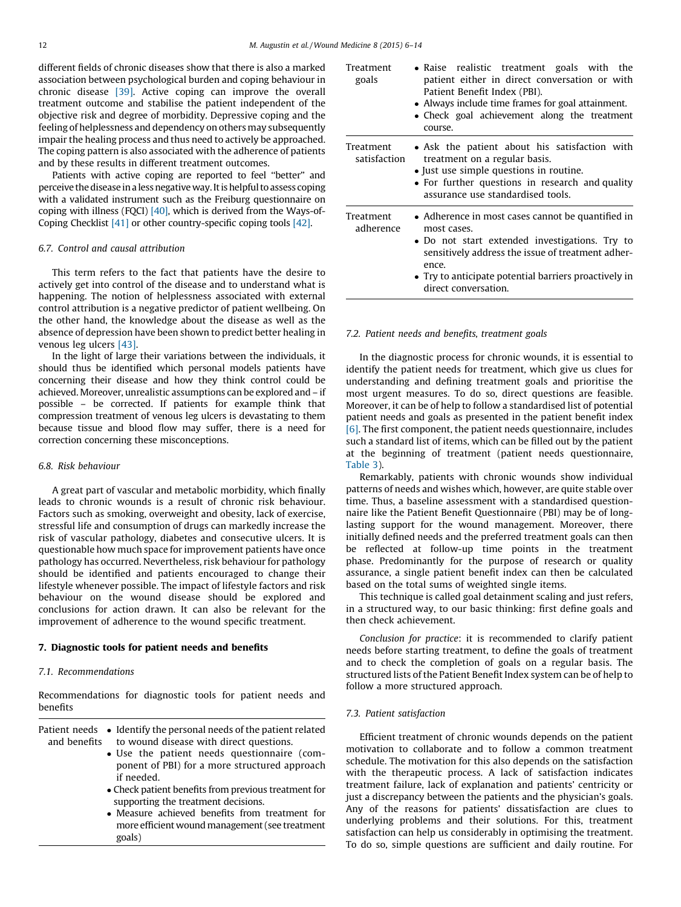different fields of chronic diseases show that there is also a marked association between psychological burden and coping behaviour in chronic disease [\[39\]](#page-8-0). Active coping can improve the overall treatment outcome and stabilise the patient independent of the objective risk and degree of morbidity. Depressive coping and the feeling of helplessness and dependency on others may subsequently impair the healing process and thus need to actively be approached. The coping pattern is also associated with the adherence of patients and by these results in different treatment outcomes.

Patients with active coping are reported to feel ''better'' and perceive the disease in a less negative way. It is helpful to assess coping with a validated instrument such as the Freiburg questionnaire on coping with illness (FQCI) [\[40\],](#page-8-0) which is derived from the Ways-of-Coping Checklist [\[41\]](#page-8-0) or other country-specific coping tools [\[42\]](#page-8-0).

# 6.7. Control and causal attribution

This term refers to the fact that patients have the desire to actively get into control of the disease and to understand what is happening. The notion of helplessness associated with external control attribution is a negative predictor of patient wellbeing. On the other hand, the knowledge about the disease as well as the absence of depression have been shown to predict better healing in venous leg ulcers [\[43\].](#page-8-0)

In the light of large their variations between the individuals, it should thus be identified which personal models patients have concerning their disease and how they think control could be achieved. Moreover, unrealistic assumptions can be explored and – if possible – be corrected. If patients for example think that compression treatment of venous leg ulcers is devastating to them because tissue and blood flow may suffer, there is a need for correction concerning these misconceptions.

### 6.8. Risk behaviour

A great part of vascular and metabolic morbidity, which finally leads to chronic wounds is a result of chronic risk behaviour. Factors such as smoking, overweight and obesity, lack of exercise, stressful life and consumption of drugs can markedly increase the risk of vascular pathology, diabetes and consecutive ulcers. It is questionable how much space for improvement patients have once pathology has occurred. Nevertheless, risk behaviour for pathology should be identified and patients encouraged to change their lifestyle whenever possible. The impact of lifestyle factors and risk behaviour on the wound disease should be explored and conclusions for action drawn. It can also be relevant for the improvement of adherence to the wound specific treatment.

### 7. Diagnostic tools for patient needs and benefits

## 7.1. Recommendations

Recommendations for diagnostic tools for patient needs and benefits

| Patient needs • Identify the personal needs of the patient related |
|--------------------------------------------------------------------|
| and benefits to wound disease with direct questions.               |
| • Use the patient needs questionnaire (com-                        |
| ponent of PBI) for a more structured approach                      |
| if needed.                                                         |
| • Check patient benefits from previous treatment for               |
| supporting the treatment decisions.                                |
| Measure achieved benefits from treatment for                       |

 $\bullet$  Measure achieved benefits from treatment for more efficient wound management(see treatment goals)

| Treatment<br>goals        | • Raise realistic treatment goals with the<br>patient either in direct conversation or with<br>Patient Benefit Index (PBI).<br>• Always include time frames for goal attainment.<br>• Check goal achievement along the treatment<br>course.                       |
|---------------------------|-------------------------------------------------------------------------------------------------------------------------------------------------------------------------------------------------------------------------------------------------------------------|
| Treatment<br>satisfaction | • Ask the patient about his satisfaction with<br>treatment on a regular basis.<br>• Just use simple questions in routine.<br>• For further questions in research and quality<br>assurance use standardised tools.                                                 |
| Treatment<br>adherence    | • Adherence in most cases cannot be quantified in<br>most cases.<br>• Do not start extended investigations. Try to<br>sensitively address the issue of treatment adher-<br>ence.<br>• Try to anticipate potential barriers proactively in<br>direct conversation. |

## 7.2. Patient needs and benefits, treatment goals

In the diagnostic process for chronic wounds, it is essential to identify the patient needs for treatment, which give us clues for understanding and defining treatment goals and prioritise the most urgent measures. To do so, direct questions are feasible. Moreover, it can be of help to follow a standardised list of potential patient needs and goals as presented in the patient benefit index [\[6\].](#page-8-0) The first component, the patient needs questionnaire, includes such a standard list of items, which can be filled out by the patient at the beginning of treatment (patient needs questionnaire, [Table](#page-7-0) 3).

Remarkably, patients with chronic wounds show individual patterns of needs and wishes which, however, are quite stable over time. Thus, a baseline assessment with a standardised questionnaire like the Patient Benefit Questionnaire (PBI) may be of longlasting support for the wound management. Moreover, there initially defined needs and the preferred treatment goals can then be reflected at follow-up time points in the treatment phase. Predominantly for the purpose of research or quality assurance, a single patient benefit index can then be calculated based on the total sums of weighted single items.

This technique is called goal detainment scaling and just refers, in a structured way, to our basic thinking: first define goals and then check achievement.

Conclusion for practice: it is recommended to clarify patient needs before starting treatment, to define the goals of treatment and to check the completion of goals on a regular basis. The structured lists of the Patient Benefit Index system can be of help to follow a more structured approach.

## 7.3. Patient satisfaction

Efficient treatment of chronic wounds depends on the patient motivation to collaborate and to follow a common treatment schedule. The motivation for this also depends on the satisfaction with the therapeutic process. A lack of satisfaction indicates treatment failure, lack of explanation and patients' centricity or just a discrepancy between the patients and the physician's goals. Any of the reasons for patients' dissatisfaction are clues to underlying problems and their solutions. For this, treatment satisfaction can help us considerably in optimising the treatment. To do so, simple questions are sufficient and daily routine. For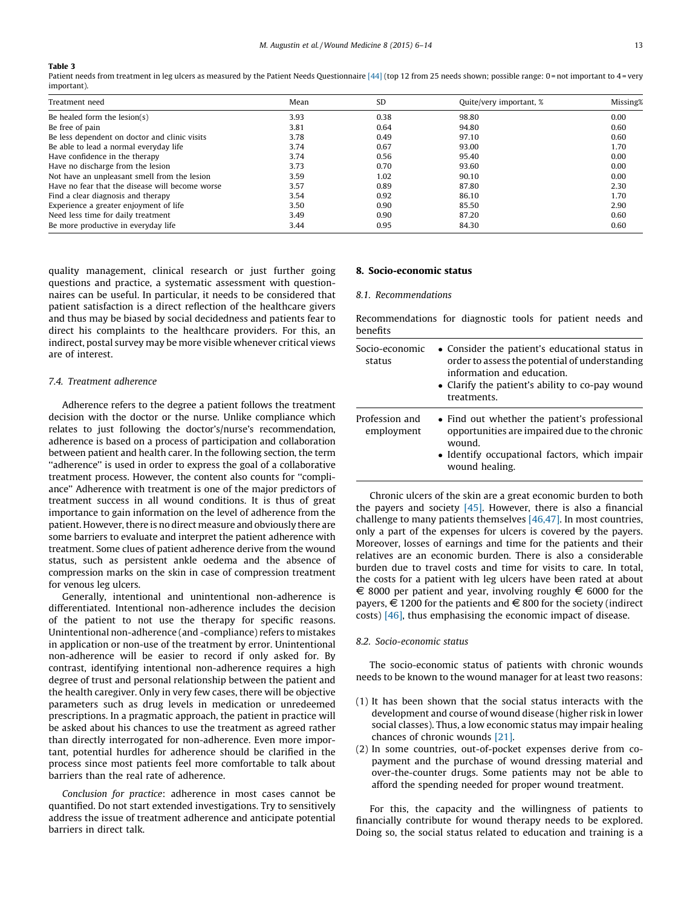## <span id="page-7-0"></span>Table 3

Patient needs from treatment in leg ulcers as measured by the Patient Needs Questionnaire [\[44\]](#page-8-0) (top 12 from 25 needs shown; possible range: 0 = not important to 4 = very important).

| Treatment need                                  | Mean | <b>SD</b> | Quite/very important, % | Missing% |
|-------------------------------------------------|------|-----------|-------------------------|----------|
| Be healed form the lesion( $s$ )                | 3.93 | 0.38      | 98.80                   | 0.00     |
| Be free of pain                                 | 3.81 | 0.64      | 94.80                   | 0.60     |
| Be less dependent on doctor and clinic visits   | 3.78 | 0.49      | 97.10                   | 0.60     |
| Be able to lead a normal everyday life          | 3.74 | 0.67      | 93.00                   | 1.70     |
| Have confidence in the therapy                  | 3.74 | 0.56      | 95.40                   | 0.00     |
| Have no discharge from the lesion               | 3.73 | 0.70      | 93.60                   | 0.00     |
| Not have an unpleasant smell from the lesion    | 3.59 | 1.02      | 90.10                   | 0.00     |
| Have no fear that the disease will become worse | 3.57 | 0.89      | 87.80                   | 2.30     |
| Find a clear diagnosis and therapy              | 3.54 | 0.92      | 86.10                   | 1.70     |
| Experience a greater enjoyment of life          | 3.50 | 0.90      | 85.50                   | 2.90     |
| Need less time for daily treatment              | 3.49 | 0.90      | 87.20                   | 0.60     |
| Be more productive in everyday life             | 3.44 | 0.95      | 84.30                   | 0.60     |

quality management, clinical research or just further going questions and practice, a systematic assessment with questionnaires can be useful. In particular, it needs to be considered that patient satisfaction is a direct reflection of the healthcare givers and thus may be biased by social decidedness and patients fear to direct his complaints to the healthcare providers. For this, an indirect, postal survey may be more visible whenever critical views are of interest.

# 7.4. Treatment adherence

Adherence refers to the degree a patient follows the treatment decision with the doctor or the nurse. Unlike compliance which relates to just following the doctor's/nurse's recommendation, adherence is based on a process of participation and collaboration between patient and health carer. In the following section, the term ''adherence'' is used in order to express the goal of a collaborative treatment process. However, the content also counts for ''compliance'' Adherence with treatment is one of the major predictors of treatment success in all wound conditions. It is thus of great importance to gain information on the level of adherence from the patient. However, there is no direct measure and obviously there are some barriers to evaluate and interpret the patient adherence with treatment. Some clues of patient adherence derive from the wound status, such as persistent ankle oedema and the absence of compression marks on the skin in case of compression treatment for venous leg ulcers.

Generally, intentional and unintentional non-adherence is differentiated. Intentional non-adherence includes the decision of the patient to not use the therapy for specific reasons. Unintentional non-adherence (and -compliance) refers to mistakes in application or non-use of the treatment by error. Unintentional non-adherence will be easier to record if only asked for. By contrast, identifying intentional non-adherence requires a high degree of trust and personal relationship between the patient and the health caregiver. Only in very few cases, there will be objective parameters such as drug levels in medication or unredeemed prescriptions. In a pragmatic approach, the patient in practice will be asked about his chances to use the treatment as agreed rather than directly interrogated for non-adherence. Even more important, potential hurdles for adherence should be clarified in the process since most patients feel more comfortable to talk about barriers than the real rate of adherence.

Conclusion for practice: adherence in most cases cannot be quantified. Do not start extended investigations. Try to sensitively address the issue of treatment adherence and anticipate potential barriers in direct talk.

#### 8. Socio-economic status

8.1. Recommendations

Recommendations for diagnostic tools for patient needs and benefits

| Socio-economic<br>status     | • Consider the patient's educational status in<br>order to assess the potential of understanding<br>information and education.<br>• Clarify the patient's ability to co-pay wound<br>treatments. |
|------------------------------|--------------------------------------------------------------------------------------------------------------------------------------------------------------------------------------------------|
| Profession and<br>employment | • Find out whether the patient's professional<br>opportunities are impaired due to the chronic<br>wound.<br>• Identify occupational factors, which impair<br>wound healing.                      |

Chronic ulcers of the skin are a great economic burden to both the payers and society  $[45]$ . However, there is also a financial challenge to many patients themselves [\[46,47\].](#page-8-0) In most countries, only a part of the expenses for ulcers is covered by the payers. Moreover, losses of earnings and time for the patients and their relatives are an economic burden. There is also a considerable burden due to travel costs and time for visits to care. In total, the costs for a patient with leg ulcers have been rated at about  $\epsilon$  8000 per patient and year, involving roughly  $\epsilon$  6000 for the payers,  $\epsilon$  1200 for the patients and  $\epsilon$  800 for the society (indirect costs) [\[46\]](#page-8-0), thus emphasising the economic impact of disease.

# 8.2. Socio-economic status

The socio-economic status of patients with chronic wounds needs to be known to the wound manager for at least two reasons:

- (1) It has been shown that the social status interacts with the development and course of wound disease (higher risk in lower social classes). Thus, a low economic status may impair healing chances of chronic wounds [\[21\]](#page-8-0).
- (2) In some countries, out-of-pocket expenses derive from copayment and the purchase of wound dressing material and over-the-counter drugs. Some patients may not be able to afford the spending needed for proper wound treatment.

For this, the capacity and the willingness of patients to financially contribute for wound therapy needs to be explored. Doing so, the social status related to education and training is a